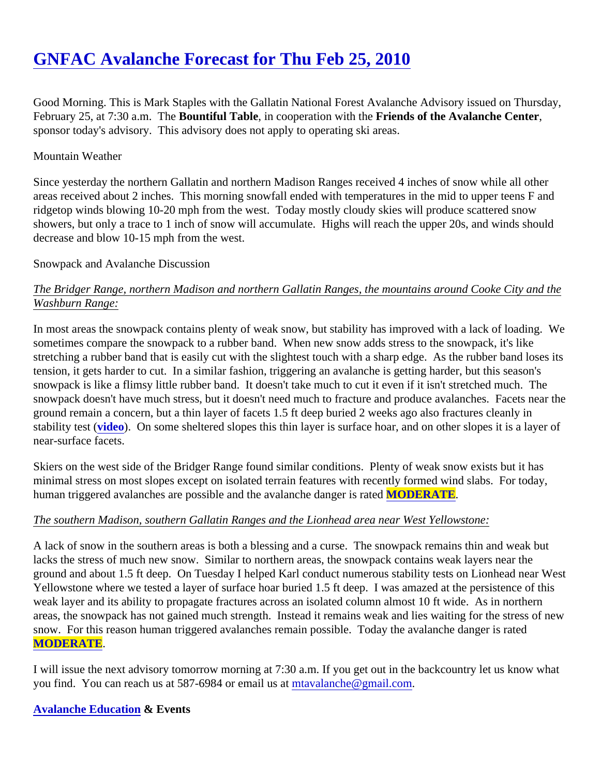# [GNFAC Avalanche Forecast for Thu Feb 25, 201](https://www.mtavalanche.com/forecast/10/02/25)0

Good Morning. This is Mark Staples with the Gallatin National Forest Avalanche Advisory issued on Thursday, February 25, at 7:30 a.m. The untiful Table, in cooperation with the riends of the Avalanche Center sponsor today's advisory. This advisory does not apply to operating ski areas.

## Mountain Weather

Since yesterday the northern Gallatin and northern Madison Ranges received 4 inches of snow while all other areas received about 2 inches. This morning snowfall ended with temperatures in the mid to upper teens F a ridgetop winds blowing 10-20 mph from the west. Today mostly cloudy skies will produce scattered snow showers, but only a trace to 1 inch of snow will accumulate. Highs will reach the upper 20s, and winds should decrease and blow 10-15 mph from the west.

## Snowpack and Avalanche Discussion

# The Bridger Range, northern Madison and northern Gallatin Ranges, the mountains around Cooke City and the Washburn Range:

In most areas the snowpack contains plenty of weak snow, but stability has improved with a lack of loading. sometimes compare the snowpack to a rubber band. When new snow adds stress to the snowpack, it's like stretching a rubber band that is easily cut with the slightest touch with a sharp edge. As the rubber band lose tension, it gets harder to cut. In a similar fashion, triggering an avalanche is getting harder, but this season's snowpack is like a flimsy little rubber band. It doesn't take much to cut it even if it isn't stretched much. The snowpack doesn't have much stress, but it doesn't need much to fracture and produce avalanches. Facets n ground remain a concern, but a thin layer of facets 1.5 ft deep buried 2 weeks ago also fractures cleanly in stability test *(video)*. On some sheltered slopes this thin layer is surface hoar, and on other slopes it is a layer near-surface facets.

Skiers on the west side of the Bridger Range found similar conditions. Plenty of weak snow exists but it has minimal stress on most slopes except on isolated terrain features with recently formed wind slabs. For today, human triggered avalanches are possible and the avalanche danger MODERATE.

# The southern Madison, southern Gallatin Ranges and the Lionhead area near West Yellowstone:

A lack of snow in the southern areas is both a blessing and a curse. The snowpack remains thin and weak b lacks the stress of much new snow. Similar to northern areas, the snowpack contains weak layers near the ground and about 1.5 ft deep. On Tuesday I helped Karl conduct numerous stability tests on Lionhead near \ Yellowstone where we tested a layer of surface hoar buried 1.5 ft deep. I was amazed at the persistence of t weak layer and its ability to propagate fractures across an isolated column almost 10 ft wide. As in northern areas, the snowpack has not gained much strength. Instead it remains weak and lies waiting for the stress of snow. For this reason human triggered avalanches remain possible. Today the avalanche danger is rated [MODERATE](https://www.mtavalanche.com/images/DangerScale-small.jpg) .

I will issue the next advisory tomorrow morning at 7:30 a.m. If you get out in the backcountry let us know wha you find[.](mailto:mtavalanche@gmail.com) You can reach us at 587-6984 or email ustat alanche@gmail.com

# [Avalanche Education](http://www.mtavalanche.com/education) & Events